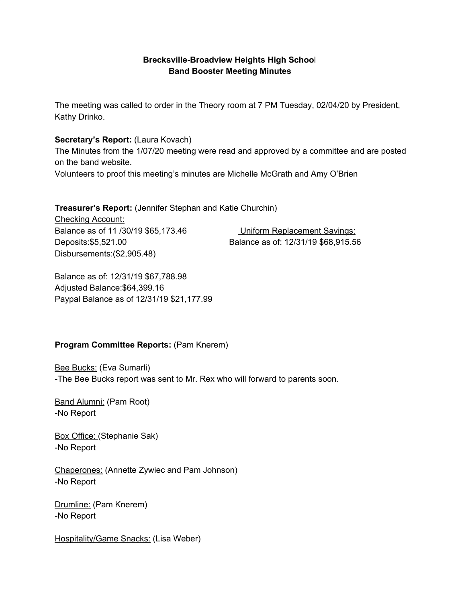# **Brecksville-Broadview Heights High Schoo**l **Band Booster Meeting Minutes**

The meeting was called to order in the Theory room at 7 PM Tuesday, 02/04/20 by President, Kathy Drinko.

## **Secretary's Report:** (Laura Kovach)

The Minutes from the 1/07/20 meeting were read and approved by a committee and are posted on the band website.

Volunteers to proof this meeting's minutes are Michelle McGrath and Amy O'Brien

## **Treasurer's Report:** (Jennifer Stephan and Katie Churchin)

Checking Account: Balance as of 11 /30/19 \$65,173.46 Uniform Replacement Savings: Deposits:\$5,521.00 Balance as of: 12/31/19 \$68,915.56 Disbursements:(\$2,905.48)

Balance as of: 12/31/19 \$67,788.98 Adjusted Balance:\$64,399.16 Paypal Balance as of 12/31/19 \$21,177.99

# **Program Committee Reports:** (Pam Knerem)

**Bee Bucks: (Eva Sumarli)** -The Bee Bucks report was sent to Mr. Rex who will forward to parents soon.

Band Alumni: (Pam Root) -No Report

Box Office: (Stephanie Sak) -No Report

Chaperones: (Annette Zywiec and Pam Johnson) -No Report

Drumline: (Pam Knerem) -No Report

Hospitality/Game Snacks: (Lisa Weber)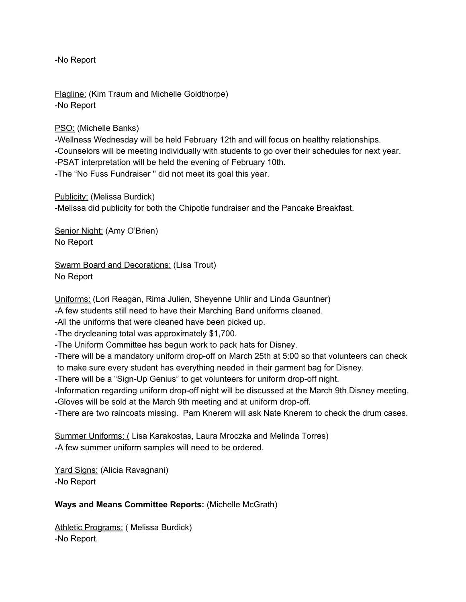-No Report

Flagline: (Kim Traum and Michelle Goldthorpe) -No Report

PSO: (Michelle Banks)

-Wellness Wednesday will be held February 12th and will focus on healthy relationships. -Counselors will be meeting individually with students to go over their schedules for next year. -PSAT interpretation will be held the evening of February 10th. -The "No Fuss Fundraiser '' did not meet its goal this year.

Publicity: (Melissa Burdick) -Melissa did publicity for both the Chipotle fundraiser and the Pancake Breakfast.

Senior Night: (Amy O'Brien) No Report

Swarm Board and Decorations: (Lisa Trout) No Report

Uniforms: (Lori Reagan, Rima Julien, Sheyenne Uhlir and Linda Gauntner)

-A few students still need to have their Marching Band uniforms cleaned.

-All the uniforms that were cleaned have been picked up.

-The drycleaning total was approximately \$1,700.

-The Uniform Committee has begun work to pack hats for Disney.

-There will be a mandatory uniform drop-off on March 25th at 5:00 so that volunteers can check to make sure every student has everything needed in their garment bag for Disney.

-There will be a "Sign-Up Genius" to get volunteers for uniform drop-off night.

-Information regarding uniform drop-off night will be discussed at the March 9th Disney meeting. -Gloves will be sold at the March 9th meeting and at uniform drop-off.

-There are two raincoats missing. Pam Knerem will ask Nate Knerem to check the drum cases.

Summer Uniforms: ( Lisa Karakostas, Laura Mroczka and Melinda Torres) -A few summer uniform samples will need to be ordered.

Yard Signs: (Alicia Ravagnani) -No Report

# **Ways and Means Committee Reports:** (Michelle McGrath)

Athletic Programs: ( Melissa Burdick) -No Report.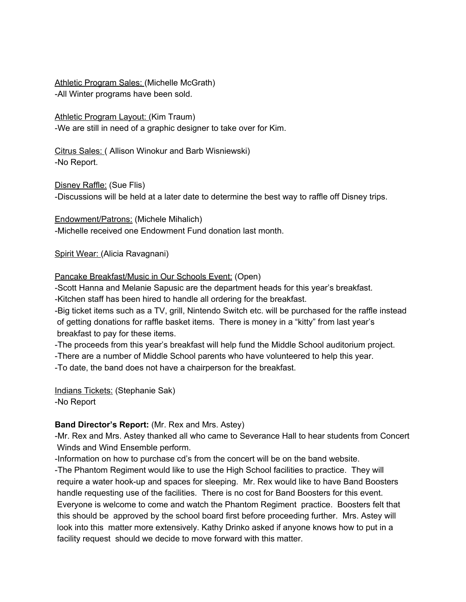Athletic Program Sales: (Michelle McGrath) -All Winter programs have been sold.

Athletic Program Layout: (Kim Traum) -We are still in need of a graphic designer to take over for Kim.

Citrus Sales: ( Allison Winokur and Barb Wisniewski) -No Report.

Disney Raffle: (Sue Flis)

-Discussions will be held at a later date to determine the best way to raffle off Disney trips.

Endowment/Patrons: (Michele Mihalich) -Michelle received one Endowment Fund donation last month.

Spirit Wear: (Alicia Ravagnani)

## Pancake Breakfast/Music in Our Schools Event: (Open)

-Scott Hanna and Melanie Sapusic are the department heads for this year's breakfast. -Kitchen staff has been hired to handle all ordering for the breakfast.

-Big ticket items such as a TV, grill, Nintendo Switch etc. will be purchased for the raffle instead of getting donations for raffle basket items. There is money in a "kitty" from last year's breakfast to pay for these items.

-The proceeds from this year's breakfast will help fund the Middle School auditorium project.

-There are a number of Middle School parents who have volunteered to help this year.

-To date, the band does not have a chairperson for the breakfast.

Indians Tickets: (Stephanie Sak) -No Report

# **Band Director's Report:** (Mr. Rex and Mrs. Astey)

-Mr. Rex and Mrs. Astey thanked all who came to Severance Hall to hear students from Concert Winds and Wind Ensemble perform.

-Information on how to purchase cd's from the concert will be on the band website.

-The Phantom Regiment would like to use the High School facilities to practice. They will require a water hook-up and spaces for sleeping. Mr. Rex would like to have Band Boosters handle requesting use of the facilities. There is no cost for Band Boosters for this event. Everyone is welcome to come and watch the Phantom Regiment practice. Boosters felt that this should be approved by the school board first before proceeding further. Mrs. Astey will look into this matter more extensively. Kathy Drinko asked if anyone knows how to put in a facility request should we decide to move forward with this matter.